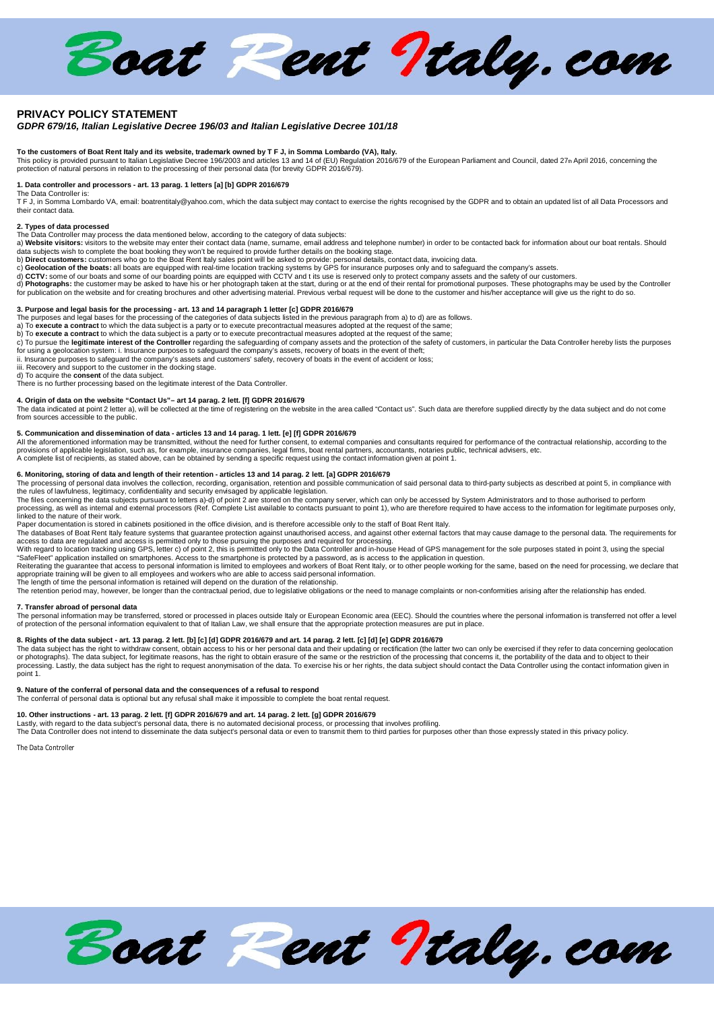Boat Pent Italy.com

# **PRIVACY POLICY STATEMENT**

# *GDPR 679/16, Italian Legislative Decree 196/03 and Italian Legislative Decree 101/18*

T**o the customers of Boat Rent Italy and its website, trademark owned by T F J, in Somma Lombardo (VA), Italy.**<br>This policy is provided pursuant to Italian Legislative Decree 196/2003 and articles 13 and 14 of (EU) Regula

# **1. Data controller and processors - art. 13 parag. 1 letters [a] [b] GDPR 2016/679**

The Data Controller is: T F J, in Somma Lombardo VA, email: boatrentitaly@yahoo.com, which the data subject may contact to exercise the rights recognised by the GDPR and to obtain an updated list of all Data Processors and their contact data.

## **2. Types of data processed**

The Data Controller may process the data mentioned below, according to the category of data subjects:<br>a) **Website visitors:** visitors to the website may enter their contact data (name, surname, email address and telephone

data subjects wish to complete the boat booking they won't be required to provide further details on the booking stage.<br>b) **Direct customers:** customers who go to the Boat Rent Italy sales point will be asked to provide: p

c) **Geolocation of the boats:** all boats are equipped with real-time location tracking systems by GPS for insurance purposes only and to safeguard the company's assets.<br>d) **CCTV:** some of our boats and some of our boarding

d) **Photographs:** the customer may be asked to have his or her photograph taken at the start, during or at the end of their rental for promotional purposes. These photographs may be used by the Controller for publication on the website and for creating brochures and other advertising material. Previous verbal request will be done to the customer and his/her acceptance will give us the right to do so.

# **3. Purpose and legal basis for the processing - art. 13 and 14 paragraph 1 letter [c] GDPR 2016/679**

The purposes and legal bases for the processing of the categories of data subjects listed in the previous paragraph from a) to d) are as follows.<br>a) To **execute a contract** to which the data subject is a party or to execut

c) To pursue the **legitimate interest of the Controller** regarding the safeguarding of company assets and the protection of the safety of customers, in particular the Data Controller hereby lists the purposes<br>for using a g

ii. Insurance purposes to safeguard the company's assets and customers' safety, recovery of boats in the event of accident or loss; iii. Recovery and support to the customer in the docking stage.

d) To acquire the **consent** of the data subject.

There is no further processing based on the legitimate interest of the Data Controller.

# **4. Origin of data on the website "Contact Us"– art 14 parag. 2 lett. [f] GDPR 2016/679**

The data indicated at point 2 letter a), will be collected at the time of registering on the website in the area called "Contact us". Such data are therefore supplied directly by the data subject and do not come<br>from sourc

5**. Communication and dissemination of data - articles 13 and 14 parag. 1 lett. [e] [f] GDPR 2016/679<br>All the aforementioned information may be transmitted, without the need for further consent, to external companies and c** provisions of applicable legislation, such as, for example, insurance companies, legal firms, boat rental partners, accountants, notaries public, technical advisers, etc. A complete list of recipients, as stated above, can be obtained by sending a specific request using the contact information given at point 1.

# **6. Monitoring, storing of data and length of their retention - articles 13 and 14 parag. 2 lett. [a] GDPR 2016/679**

The processing of personal data involves the collection, recording, organisation, retention and possible communication of said personal data to third-party subjects as described at point 5, in compliance with<br>the rules of

The files concerning the data subjects pursuant to letters a)-d) of point 2 are stored on the company server, which can only be accessed by System Administrators and to those authorised to perform<br>processing, as well as in

Paper documentation is stored in cabinets positioned in the office division, and is therefore accessible only to the staff of Boat Rent Italy. The databases of Boat Rent Italy feature systems that guarantee protection against unauthorised access, and against other external factors that may cause damage to the personal data. The requirements for access to data are regulated and access is permitted only to those pursuing the purposes and required for processing.

With regard to location tracking using GPS, letter c) of point 2, this is permitted only to the Data Controller and in-house Head of GPS management for the sole purposes stated in point 3, using the special

"SafeFleet" application installed on smartphones. Access to the smartphone is protected by a password, as is access to the application in question.<br>Reiterating the guarantee that access to personal information is limited t appropriate training will be given to all employees and workers who are able to access said personal information.

The length of time the personal information is retained will depend on the duration of the relationship.

The retention period may, however, be longer than the contractual period, due to legislative obligations or the need to manage complaints or non-conformities arising after the relationship has ended.

# **7. Transfer abroad of personal data**

The personal information may be transferred, stored or processed in places outside Italy or European Economic area (EEC). Should the countries where the personal information is transferred not offer a level of protection of the personal information equivalent to that of Italian Law, we shall ensure that the appropriate protection measures are put in place.

# **8. Rights of the data subject - art. 13 parag. 2 lett. [b] [c] [d] GDPR 2016/679 and art. 14 parag. 2 lett. [c] [d] [e] GDPR 2016/679**

The data subject has the right to withdraw consent, obtain access to his or her personal data and their updating or rectification (the latter two can only be exercised if they refer to data concerning geolocation<br>or photog processing. Lastly, the data subject has the right to request anonymisation of the data. To exercise his or her rights, the data subject should contact the Data Controller using the contact information given in point 1.

# **9. Nature of the conferral of personal data and the consequences of a refusal to respond**

The conferral of personal data is optional but any refusal shall make it impossible to complete the boat rental request.

# **10. Other instructions - art. 13 parag. 2 lett. [f] GDPR 2016/679 and art. 14 parag. 2 lett. [g] GDPR 2016/679**

Lastly, with regard to the data subject's personal data, there is no automated decisional process, or processing that involves profiling.<br>The Data Controller does not intend to disseminate the data subject's personal data

*The Data Controller*